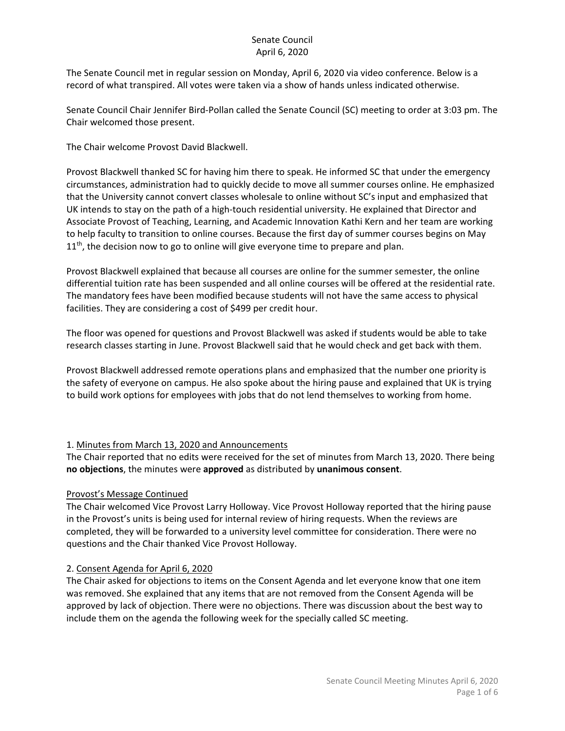The Senate Council met in regular session on Monday, April 6, 2020 via video conference. Below is a record of what transpired. All votes were taken via a show of hands unless indicated otherwise.

Senate Council Chair Jennifer Bird-Pollan called the Senate Council (SC) meeting to order at 3:03 pm. The Chair welcomed those present.

The Chair welcome Provost David Blackwell.

Provost Blackwell thanked SC for having him there to speak. He informed SC that under the emergency circumstances, administration had to quickly decide to move all summer courses online. He emphasized that the University cannot convert classes wholesale to online without SC's input and emphasized that UK intends to stay on the path of a high-touch residential university. He explained that Director and Associate Provost of Teaching, Learning, and Academic Innovation Kathi Kern and her team are working to help faculty to transition to online courses. Because the first day of summer courses begins on May  $11<sup>th</sup>$ , the decision now to go to online will give everyone time to prepare and plan.

Provost Blackwell explained that because all courses are online for the summer semester, the online differential tuition rate has been suspended and all online courses will be offered at the residential rate. The mandatory fees have been modified because students will not have the same access to physical facilities. They are considering a cost of \$499 per credit hour.

The floor was opened for questions and Provost Blackwell was asked if students would be able to take research classes starting in June. Provost Blackwell said that he would check and get back with them.

Provost Blackwell addressed remote operations plans and emphasized that the number one priority is the safety of everyone on campus. He also spoke about the hiring pause and explained that UK is trying to build work options for employees with jobs that do not lend themselves to working from home.

## 1. Minutes from March 13, 2020 and Announcements

The Chair reported that no edits were received for the set of minutes from March 13, 2020. There being **no objections**, the minutes were **approved** as distributed by **unanimous consent**.

## Provost's Message Continued

The Chair welcomed Vice Provost Larry Holloway. Vice Provost Holloway reported that the hiring pause in the Provost's units is being used for internal review of hiring requests. When the reviews are completed, they will be forwarded to a university level committee for consideration. There were no questions and the Chair thanked Vice Provost Holloway.

## 2. Consent Agenda for April 6, 2020

The Chair asked for objections to items on the Consent Agenda and let everyone know that one item was removed. She explained that any items that are not removed from the Consent Agenda will be approved by lack of objection. There were no objections. There was discussion about the best way to include them on the agenda the following week for the specially called SC meeting.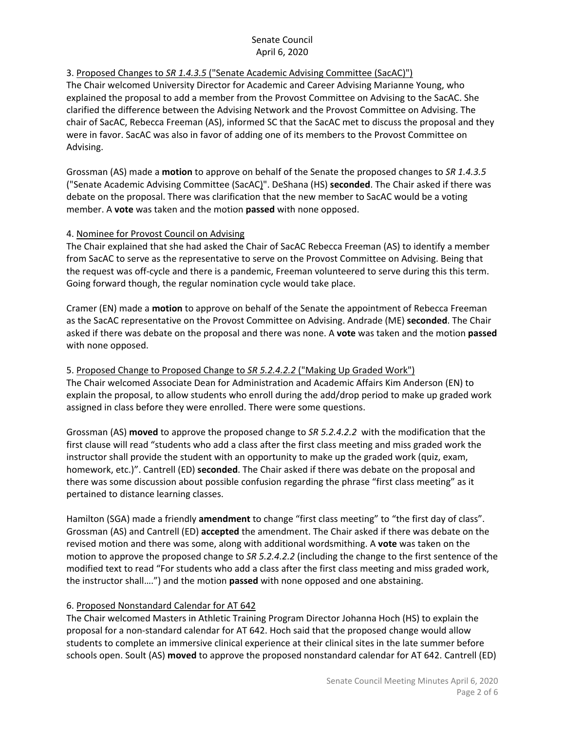# 3. Proposed Changes to *SR 1.4.3.5* ("Senate Academic Advising Committee (SacAC)")

The Chair welcomed University Director for Academic and Career Advising Marianne Young, who explained the proposal to add a member from the Provost Committee on Advising to the SacAC. She clarified the difference between the Advising Network and the Provost Committee on Advising. The chair of SacAC, Rebecca Freeman (AS), informed SC that the SacAC met to discuss the proposal and they were in favor. SacAC was also in favor of adding one of its members to the Provost Committee on Advising.

Grossman (AS) made a **motion** to approve on behalf of the Senate the proposed changes to *SR 1.4.3.5* ("Senate Academic Advising Committee (SacAC)". DeShana (HS) **seconded**. The Chair asked if there was debate on the proposal. There was clarification that the new member to SacAC would be a voting member. A **vote** was taken and the motion **passed** with none opposed.

#### 4. Nominee for Provost Council on Advising

The Chair explained that she had asked the Chair of SacAC Rebecca Freeman (AS) to identify a member from SacAC to serve as the representative to serve on the Provost Committee on Advising. Being that the request was off-cycle and there is a pandemic, Freeman volunteered to serve during this this term. Going forward though, the regular nomination cycle would take place.

Cramer (EN) made a **motion** to approve on behalf of the Senate the appointment of Rebecca Freeman as the SacAC representative on the Provost Committee on Advising. Andrade (ME) **seconded**. The Chair asked if there was debate on the proposal and there was none. A **vote** was taken and the motion **passed**  with none opposed.

### 5. Proposed Change to Proposed Change to *SR 5.2.4.2.2* ("Making Up Graded Work")

The Chair welcomed Associate Dean for Administration and Academic Affairs Kim Anderson (EN) to explain the proposal, to allow students who enroll during the add/drop period to make up graded work assigned in class before they were enrolled. There were some questions.

Grossman (AS) **moved** to approve the proposed change to *SR 5.2.4.2.2* with the modification that the first clause will read "students who add a class after the first class meeting and miss graded work the instructor shall provide the student with an opportunity to make up the graded work (quiz, exam, homework, etc.)". Cantrell (ED) **seconded**. The Chair asked if there was debate on the proposal and there was some discussion about possible confusion regarding the phrase "first class meeting" as it pertained to distance learning classes.

Hamilton (SGA) made a friendly **amendment** to change "first class meeting" to "the first day of class". Grossman (AS) and Cantrell (ED) **accepted** the amendment. The Chair asked if there was debate on the revised motion and there was some, along with additional wordsmithing. A **vote** was taken on the motion to approve the proposed change to *SR 5.2.4.2.2* (including the change to the first sentence of the modified text to read "For students who add a class after the first class meeting and miss graded work, the instructor shall….") and the motion **passed** with none opposed and one abstaining.

#### 6. Proposed Nonstandard Calendar for AT 642

The Chair welcomed Masters in Athletic Training Program Director Johanna Hoch (HS) to explain the proposal for a non-standard calendar for AT 642. Hoch said that the proposed change would allow students to complete an immersive clinical experience at their clinical sites in the late summer before schools open. Soult (AS) **moved** to approve the proposed nonstandard calendar for AT 642. Cantrell (ED)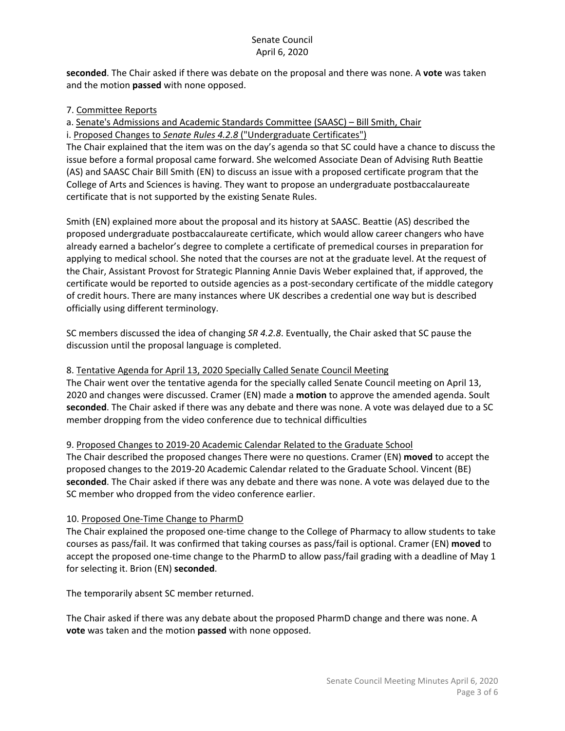**seconded**. The Chair asked if there was debate on the proposal and there was none. A **vote** was taken and the motion **passed** with none opposed.

#### 7. Committee Reports

a. Senate's Admissions and Academic Standards Committee (SAASC) – Bill Smith, Chair

i. Proposed Changes to *Senate Rules 4.2.8* ("Undergraduate Certificates") The Chair explained that the item was on the day's agenda so that SC could have a chance to discuss the

issue before a formal proposal came forward. She welcomed Associate Dean of Advising Ruth Beattie (AS) and SAASC Chair Bill Smith (EN) to discuss an issue with a proposed certificate program that the College of Arts and Sciences is having. They want to propose an undergraduate postbaccalaureate certificate that is not supported by the existing Senate Rules.

Smith (EN) explained more about the proposal and its history at SAASC. Beattie (AS) described the proposed undergraduate postbaccalaureate certificate, which would allow career changers who have already earned a bachelor's degree to complete a certificate of premedical courses in preparation for applying to medical school. She noted that the courses are not at the graduate level. At the request of the Chair, Assistant Provost for Strategic Planning Annie Davis Weber explained that, if approved, the certificate would be reported to outside agencies as a post-secondary certificate of the middle category of credit hours. There are many instances where UK describes a credential one way but is described officially using different terminology.

SC members discussed the idea of changing *SR 4.2.8*. Eventually, the Chair asked that SC pause the discussion until the proposal language is completed.

## 8. Tentative Agenda for April 13, 2020 Specially Called Senate Council Meeting

The Chair went over the tentative agenda for the specially called Senate Council meeting on April 13, 2020 and changes were discussed. Cramer (EN) made a **motion** to approve the amended agenda. Soult **seconded**. The Chair asked if there was any debate and there was none. A vote was delayed due to a SC member dropping from the video conference due to technical difficulties

## 9. Proposed Changes to 2019-20 Academic Calendar Related to the Graduate School

The Chair described the proposed changes There were no questions. Cramer (EN) **moved** to accept the proposed changes to the 2019-20 Academic Calendar related to the Graduate School. Vincent (BE) **seconded**. The Chair asked if there was any debate and there was none. A vote was delayed due to the SC member who dropped from the video conference earlier.

## 10. Proposed One-Time Change to PharmD

The Chair explained the proposed one-time change to the College of Pharmacy to allow students to take courses as pass/fail. It was confirmed that taking courses as pass/fail is optional. Cramer (EN) **moved** to accept the proposed one-time change to the PharmD to allow pass/fail grading with a deadline of May 1 for selecting it. Brion (EN) **seconded**.

The temporarily absent SC member returned.

The Chair asked if there was any debate about the proposed PharmD change and there was none. A **vote** was taken and the motion **passed** with none opposed.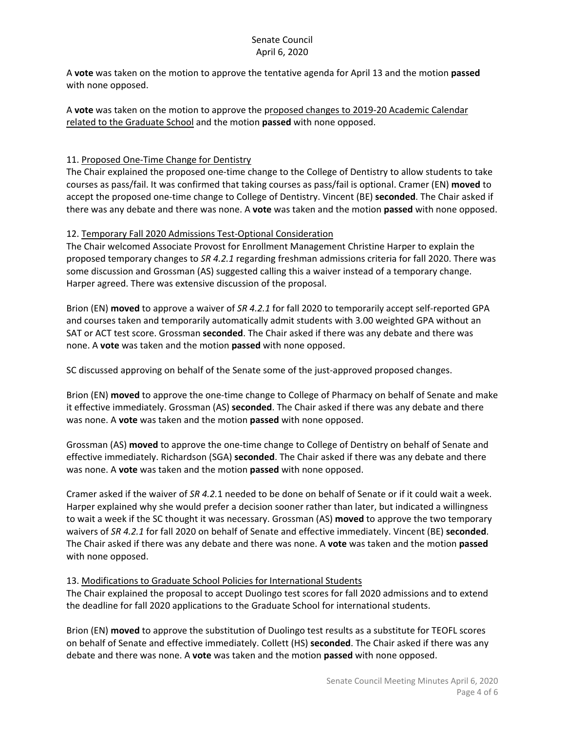A **vote** was taken on the motion to approve the tentative agenda for April 13 and the motion **passed** with none opposed.

A **vote** was taken on the motion to approve the proposed changes to 2019-20 Academic Calendar related to the Graduate School and the motion **passed** with none opposed.

# 11. Proposed One-Time Change for Dentistry

The Chair explained the proposed one-time change to the College of Dentistry to allow students to take courses as pass/fail. It was confirmed that taking courses as pass/fail is optional. Cramer (EN) **moved** to accept the proposed one-time change to College of Dentistry. Vincent (BE) **seconded**. The Chair asked if there was any debate and there was none. A **vote** was taken and the motion **passed** with none opposed.

#### 12. Temporary Fall 2020 Admissions Test-Optional Consideration

The Chair welcomed Associate Provost for Enrollment Management Christine Harper to explain the proposed temporary changes to *SR 4.2.1* regarding freshman admissions criteria for fall 2020. There was some discussion and Grossman (AS) suggested calling this a waiver instead of a temporary change. Harper agreed. There was extensive discussion of the proposal.

Brion (EN) **moved** to approve a waiver of *SR 4.2.1* for fall 2020 to temporarily accept self-reported GPA and courses taken and temporarily automatically admit students with 3.00 weighted GPA without an SAT or ACT test score. Grossman **seconded**. The Chair asked if there was any debate and there was none. A **vote** was taken and the motion **passed** with none opposed.

SC discussed approving on behalf of the Senate some of the just-approved proposed changes.

Brion (EN) **moved** to approve the one-time change to College of Pharmacy on behalf of Senate and make it effective immediately. Grossman (AS) **seconded**. The Chair asked if there was any debate and there was none. A **vote** was taken and the motion **passed** with none opposed.

Grossman (AS) **moved** to approve the one-time change to College of Dentistry on behalf of Senate and effective immediately. Richardson (SGA) **seconded**. The Chair asked if there was any debate and there was none. A **vote** was taken and the motion **passed** with none opposed.

Cramer asked if the waiver of *SR 4.2.*1 needed to be done on behalf of Senate or if it could wait a week. Harper explained why she would prefer a decision sooner rather than later, but indicated a willingness to wait a week if the SC thought it was necessary. Grossman (AS) **moved** to approve the two temporary waivers of *SR 4.2.1* for fall 2020 on behalf of Senate and effective immediately. Vincent (BE) **seconded**. The Chair asked if there was any debate and there was none. A **vote** was taken and the motion **passed** with none opposed.

## 13. Modifications to Graduate School Policies for International Students

The Chair explained the proposal to accept Duolingo test scores for fall 2020 admissions and to extend the deadline for fall 2020 applications to the Graduate School for international students.

Brion (EN) **moved** to approve the substitution of Duolingo test results as a substitute for TEOFL scores on behalf of Senate and effective immediately. Collett (HS) **seconded**. The Chair asked if there was any debate and there was none. A **vote** was taken and the motion **passed** with none opposed.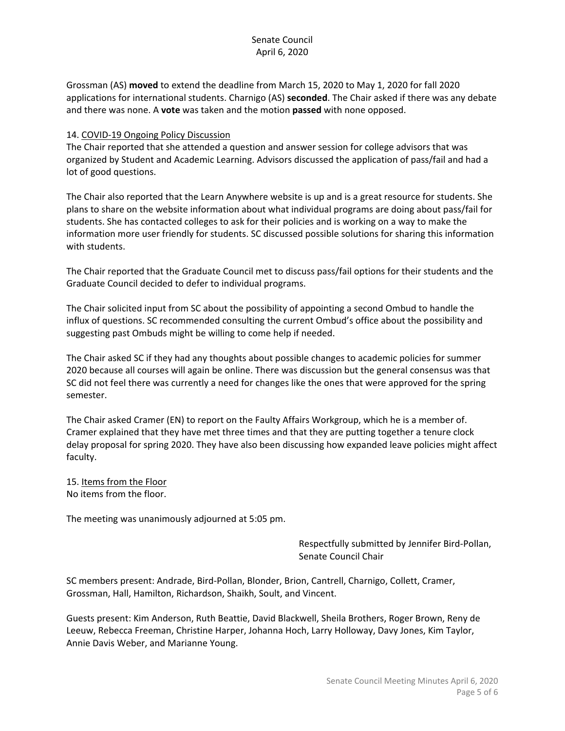Grossman (AS) **moved** to extend the deadline from March 15, 2020 to May 1, 2020 for fall 2020 applications for international students. Charnigo (AS) **seconded**. The Chair asked if there was any debate and there was none. A **vote** was taken and the motion **passed** with none opposed.

#### 14. COVID-19 Ongoing Policy Discussion

The Chair reported that she attended a question and answer session for college advisors that was organized by Student and Academic Learning. Advisors discussed the application of pass/fail and had a lot of good questions.

The Chair also reported that the Learn Anywhere website is up and is a great resource for students. She plans to share on the website information about what individual programs are doing about pass/fail for students. She has contacted colleges to ask for their policies and is working on a way to make the information more user friendly for students. SC discussed possible solutions for sharing this information with students.

The Chair reported that the Graduate Council met to discuss pass/fail options for their students and the Graduate Council decided to defer to individual programs.

The Chair solicited input from SC about the possibility of appointing a second Ombud to handle the influx of questions. SC recommended consulting the current Ombud's office about the possibility and suggesting past Ombuds might be willing to come help if needed.

The Chair asked SC if they had any thoughts about possible changes to academic policies for summer 2020 because all courses will again be online. There was discussion but the general consensus was that SC did not feel there was currently a need for changes like the ones that were approved for the spring semester.

The Chair asked Cramer (EN) to report on the Faulty Affairs Workgroup, which he is a member of. Cramer explained that they have met three times and that they are putting together a tenure clock delay proposal for spring 2020. They have also been discussing how expanded leave policies might affect faculty.

15. Items from the Floor No items from the floor.

The meeting was unanimously adjourned at 5:05 pm.

Respectfully submitted by Jennifer Bird-Pollan, Senate Council Chair

SC members present: Andrade, Bird-Pollan, Blonder, Brion, Cantrell, Charnigo, Collett, Cramer, Grossman, Hall, Hamilton, Richardson, Shaikh, Soult, and Vincent.

Guests present: Kim Anderson, Ruth Beattie, David Blackwell, Sheila Brothers, Roger Brown, Reny de Leeuw, Rebecca Freeman, Christine Harper, Johanna Hoch, Larry Holloway, Davy Jones, Kim Taylor, Annie Davis Weber, and Marianne Young.